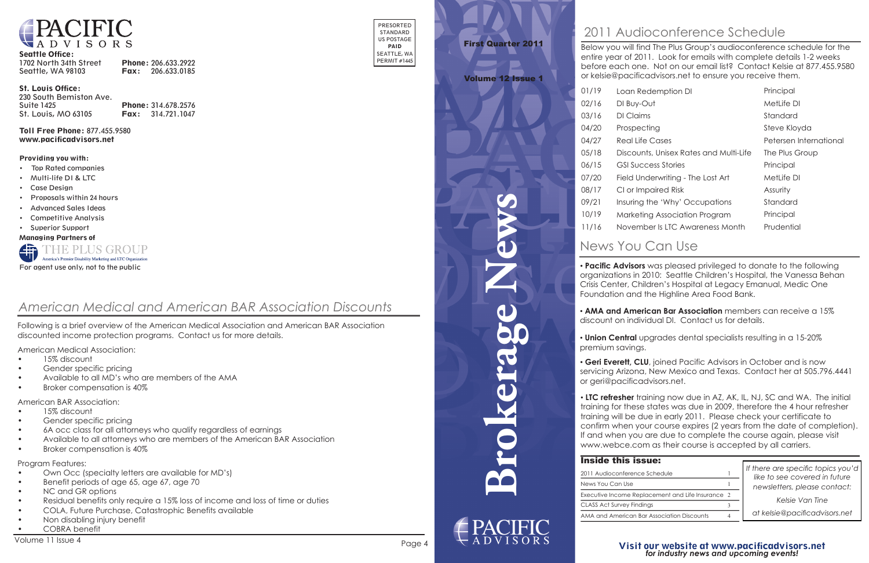**Brokerage News**



#### Seattle Office:

| 1702 North 34th Street | Phone: 206.633.2922      |
|------------------------|--------------------------|
| Seattle, WA 98103      | <b>Fax:</b> 206.633.0185 |

#### St. Louis Office:

| 230 South Bemiston Ave. |                            |
|-------------------------|----------------------------|
| Suite 1425              | Phone: 314.678.2576        |
| St. Louis, MO 63105     | <b>Fax:</b> $314.721.1047$ |

Toll Free Phone: 877.455.9580 www.pacificadvisors.net

PRESORTED STANDARD US POSTAGE PAID SEATTLE, WA PERMIT #1445

#### Providing you with:

- Top Rated companies
- Multi-life DI & LTC
- Case Design
- Proposals within 24 hours
- Advanced Sales Ideas
- Competitive Analysis
- Superior Support

Managing Partners of



- Own Occ (specialty letters are available for MD's)
- Benefit periods of age 65, age 67, age 70
- NC and GR options
- Residual benefits only require a 15% loss of income and loss of time or duties
- COLA, Future Purchase, Catastrophic Benefits available
- Non disabling injury benefit
- COBRA benefit

Following is a brief overview of the American Medical Association and American BAR Association discounted income protection programs. Contact us for more details.

American Medical Association:

- 15% discount
- Gender specific pricing
- Available to all MD's who are members of the AMA
- Broker compensation is 40%

American BAR Association:

- 15% discount
- Gender specific pricing
- 6A occ class for all attorneys who qualify regardless of earnings
- Available to all attorneys who are members of the American BAR Association
- Broker compensation is 40%

Program Features:

### *American Medical and American BAR Association Discounts*

*Kelsie Van Tine*

• **LTC refresher** training now due in AZ, AK, IL, NJ, SC and WA. The initial **FIG. CONSTRAINING TRAINING FOR SECUTIVE, AND THE TRAINING INTERFERIT TO THE TRAINING TRAINING TRAINING** training will be due in early 2011. Please check your certificate to training for these states was due in 2009, therefore the 4 hour refresher training will be doe in early 2011. The declination, your commencing training will be due to completion). commitment you are due to complete the course again, please visit If and when you are due to complete the course again, please visit www.webce.com as their course is accepted by all callidation

### **Inside this is**

#### Visit our website at www.pacificadvisors.net *Visit our website at www.pacificadvisors.net for industry news and upcoming events! Visit our website at www.pacificadvisors.net for industry news and upcoming events!*

| <b>Inside this issue:</b>                         |  |
|---------------------------------------------------|--|
| 2011 Audioconference Schedule                     |  |
| News You Can Use                                  |  |
| Executive Income Replacement and Life Insurance 2 |  |
| <b>CLASS Act Survey Findings</b>                  |  |
| AMA and American Bar Association Discounts        |  |
|                                                   |  |

## News You Can Use News You Can Use

*If there are specific topics you'd like to see covered in future newsletters, please contact: newsletters, please contact:*

*at kelsie@pacificadvisors.net Kelsie Van Tine at kelsie@pacificadvisors.net*



# First Quarter 2011 First Quarter 2011

#### Volume 12 Issue 1 Volume 12 Issue 1

• **Pacific Advisors** was pleased privileged to donate to the following organizations in 2010: Seattle Children's Hospital, the Vanessa Behan • **Pacific Advisors** was pleased privileged to donate to the following organizations in 2010: Courne Children's Hospital, the Vanessa Behann<br>Crisis Center, Children's Hospital at Legacy Emanual, Medic One Foundation and the Highline Area Food Bank. Crisis Center, Children's Hospital at Legacy Emanual, Medic One Foundation and the Highline Area Food Bank.

Below you will find The Plus Group's audioconference schedule for the entire year of 2011. Look for emails with complete details 1-2 weeks enther, year of 2011. Is striven striving with complete details 1-2 weeks before each one. The entrept entrantier, contact Reline at 877,155.7583000 or kelsie@pacificadvisors.net to ensure you receive them. or kelsie@pacificadvisors.net to ensure you receive them.

# 2011 Audioconference Schedule 2011 Audioconference Schedule

| 01/19 | Loan Redemption DI                     | Principal              |
|-------|----------------------------------------|------------------------|
| 02/16 | DI Buy-Out                             | MetLife DI             |
| 03/16 | DI Claims                              | Standard               |
| 04/20 | Prospecting                            | Steve Kloyda           |
| 04/27 | <b>Real Life Cases</b>                 | Petersen International |
| 05/18 | Discounts, Unisex Rates and Multi-Life | The Plus Group         |
| 06/15 | <b>GSI Success Stories</b>             | Principal              |
| 07/20 | Field Underwriting - The Lost Art      | MetLife DI             |
| 08/17 | CI or Impaired Risk                    | Assurity               |
| 09/21 | Insuring the 'Why' Occupations         | Standard               |
| 10/19 | Marketing Association Program          | Principal              |
| 11/16 | November Is LTC Awareness Month        | Prudential             |
|       |                                        |                        |

• **AMA and American Bar Association** members can receive a 15% discount on individual DI. Contact us for details. • **AMA and American Bar Association** members can receive a 15% discount on individual DI. Contact us for details.

• **Union Central** upgrades dental specialists resulting in a 15-20% premium savings. • **Union Central** upgrades dental specialists resulting in a 15-20% premium savings.

• **Geri Everett, CLU**, joined Pacific Advisors in October and is now **Four Everett, CEC, joined Frame Advisors in October and is now and is now all starts in Texas.** servicing Arizona, New Mexico and Texas. Contact her at 505.796.444411.<br>or geri@pacificadvisors.net. or geri@pacificadvisors.net.